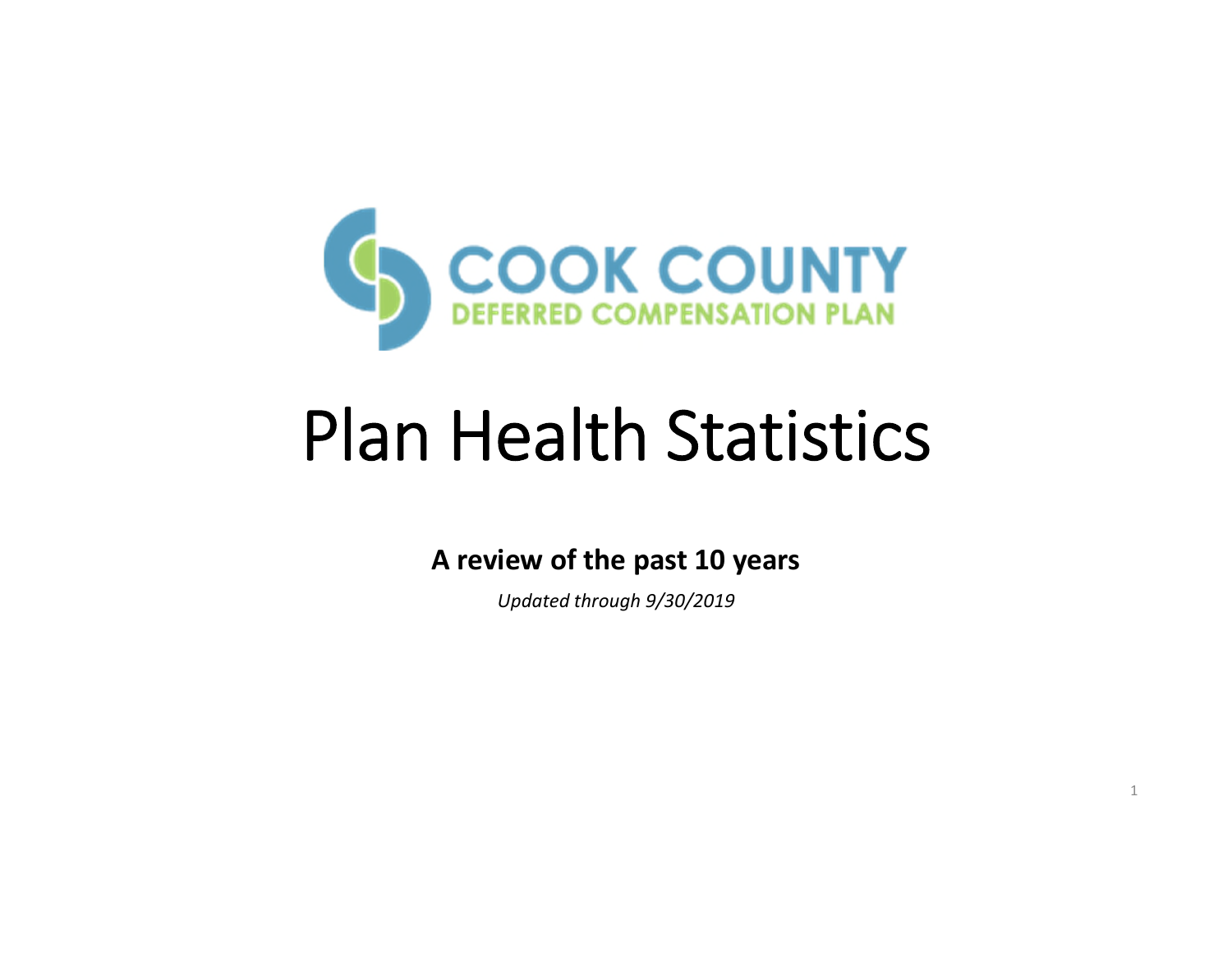

# Plan Health Statistics

# **A review of the past 10 years**

*Updated through 9/30/2019*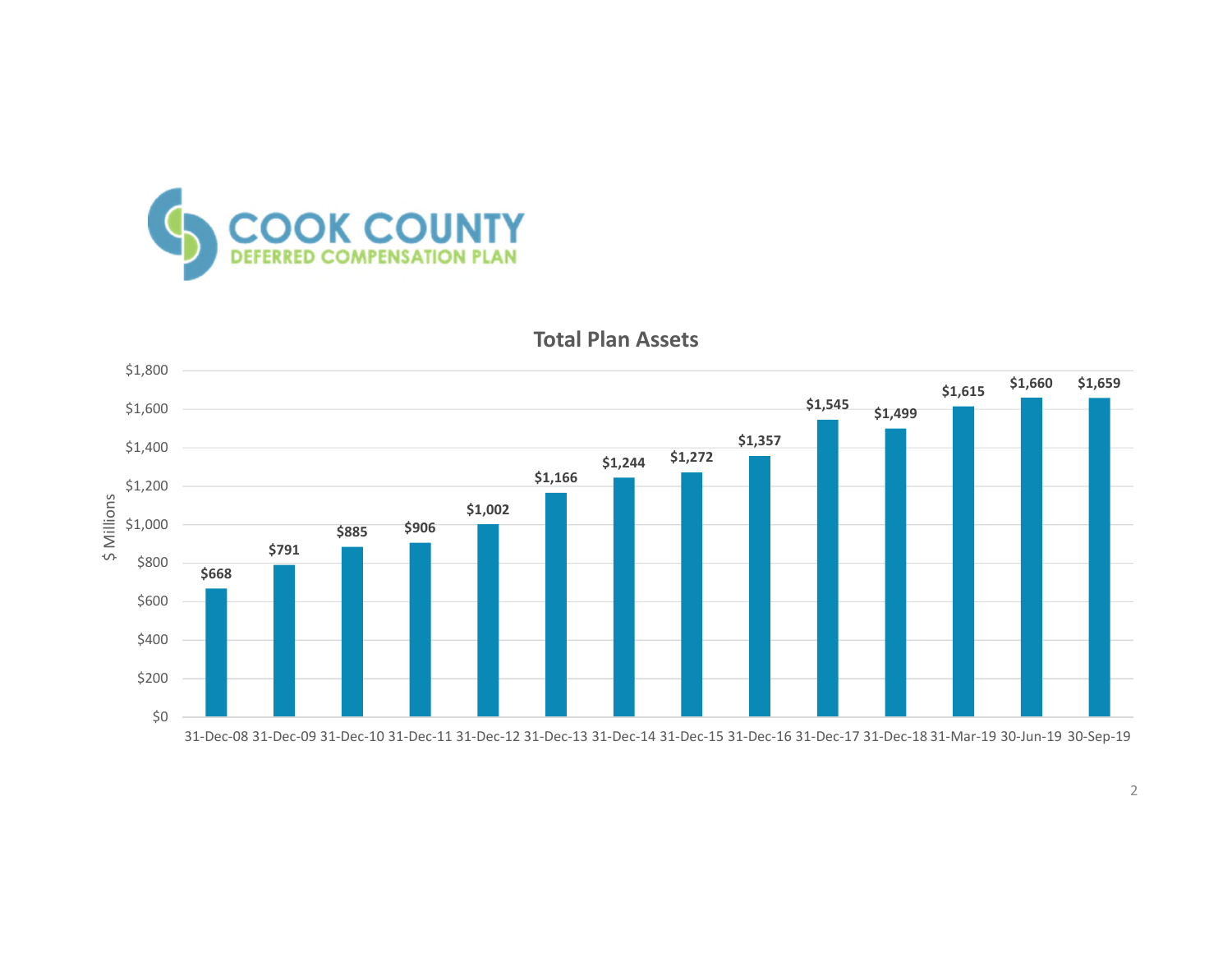



**Total Plan Assets**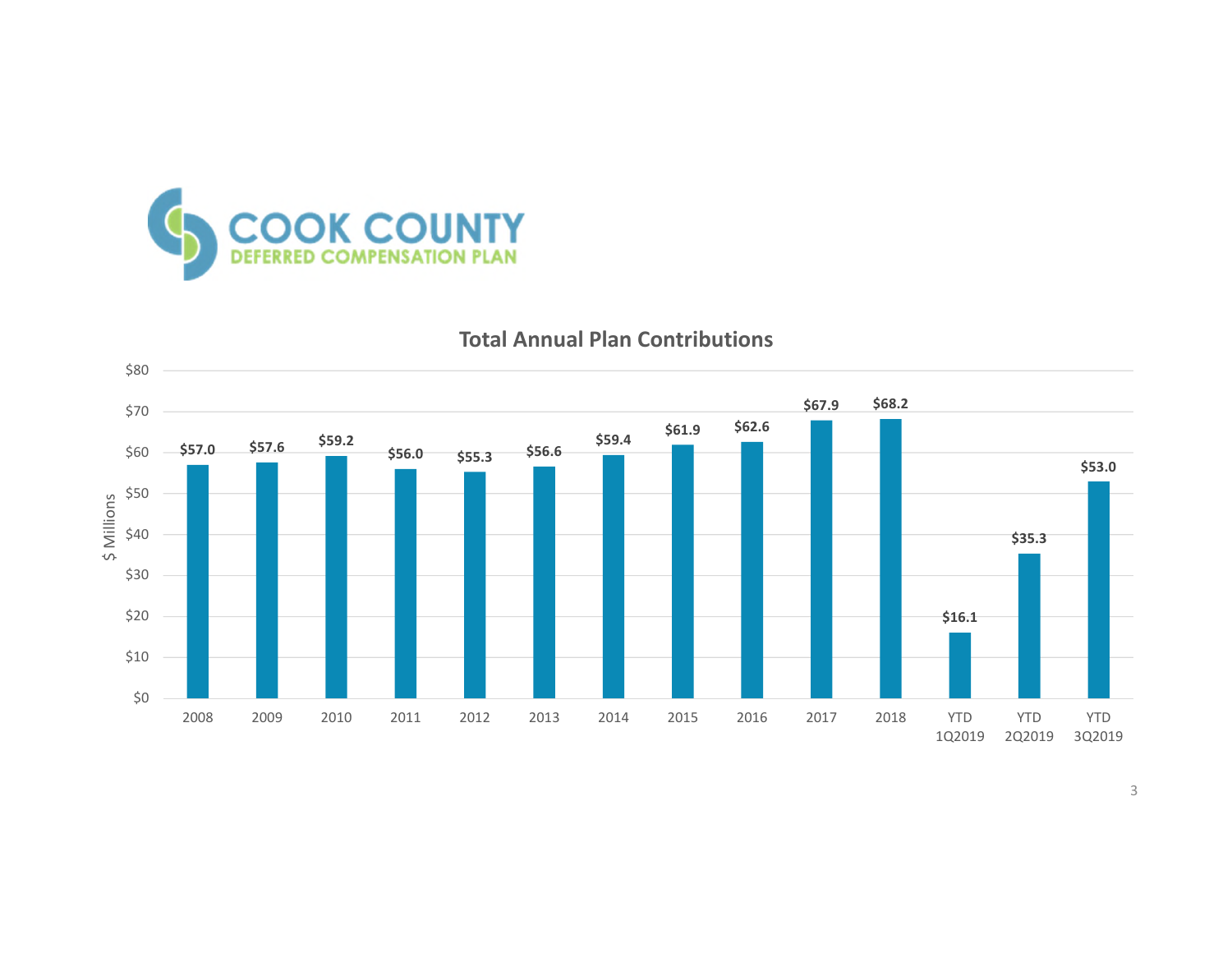



#### **Total Annual Plan Contributions**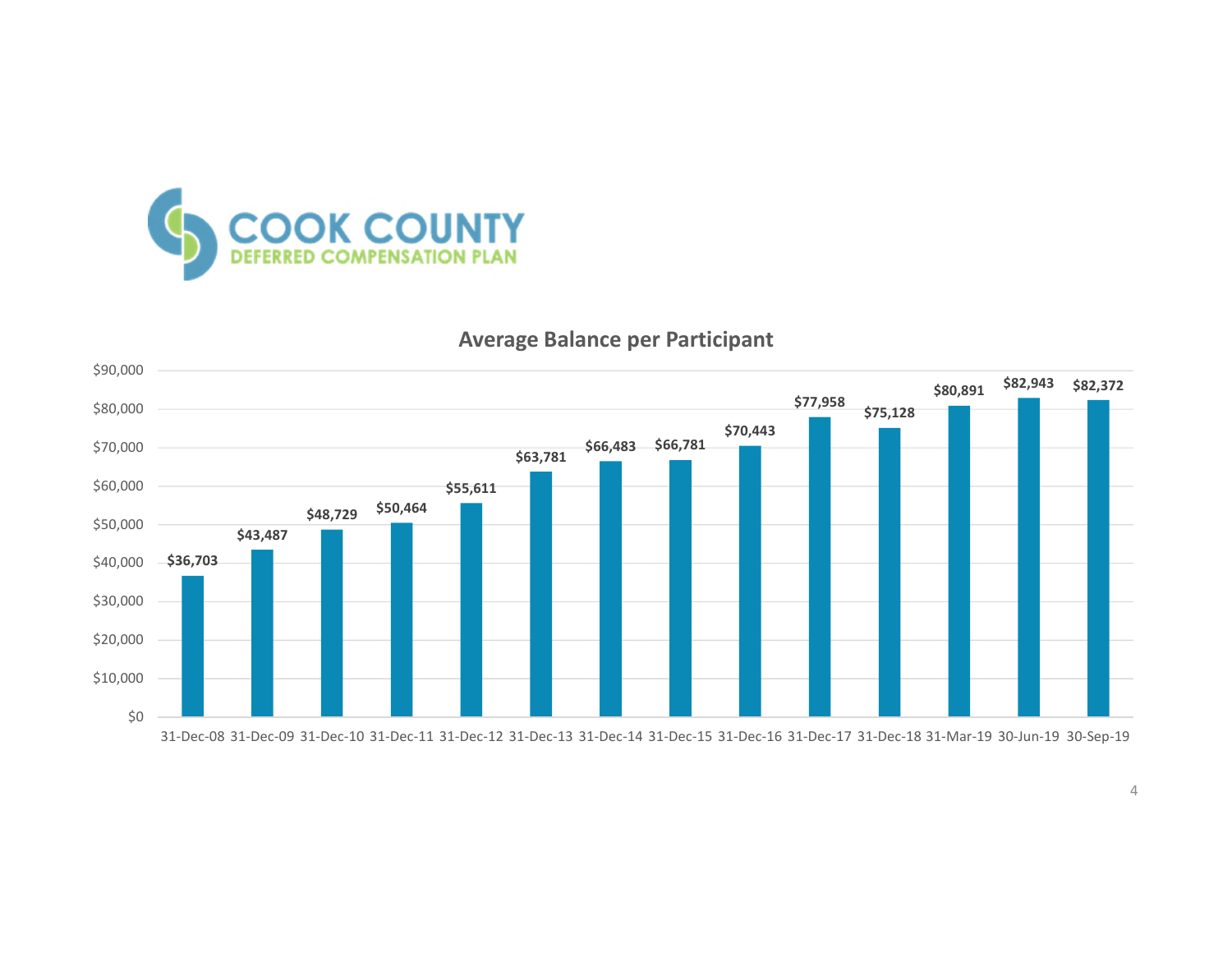



#### **Average Balance per Participant**

4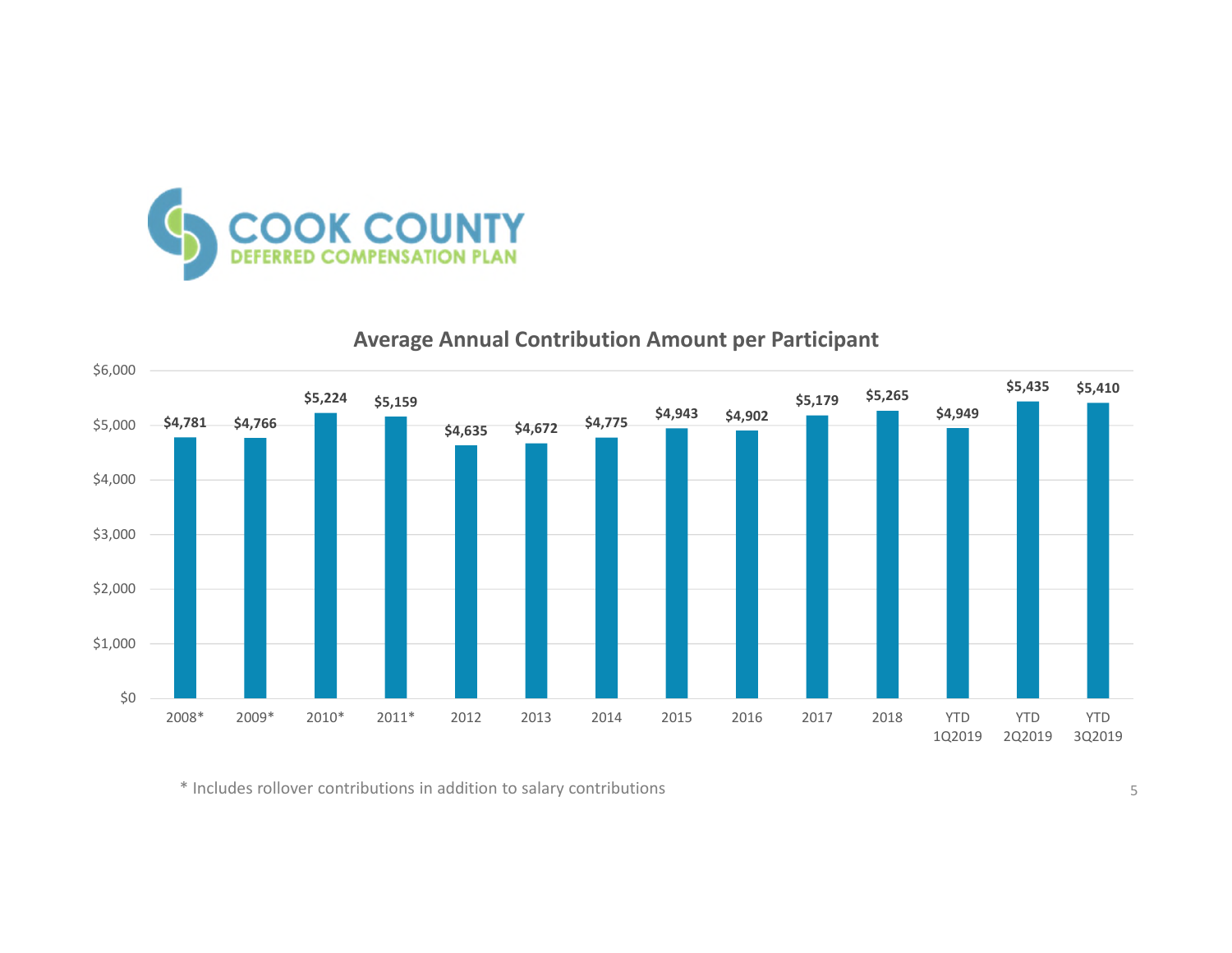



**Average Annual Contribution Amount per Participant**

\* Includes rollover contributions in addition to salary contributions 5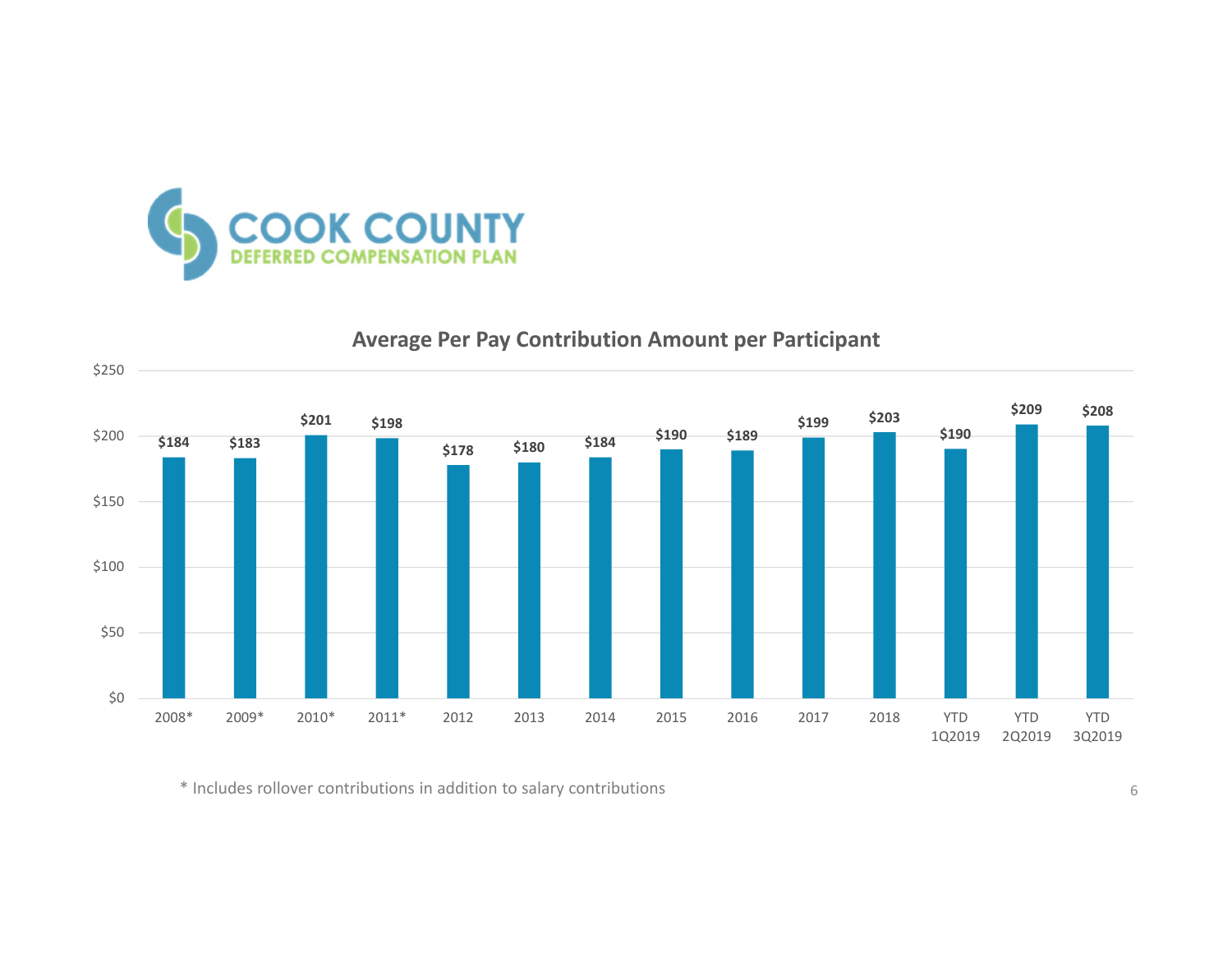

## **Average Per Pay Contribution Amount per Participant**



\* Includes rollover contributions in addition to salary contributions 6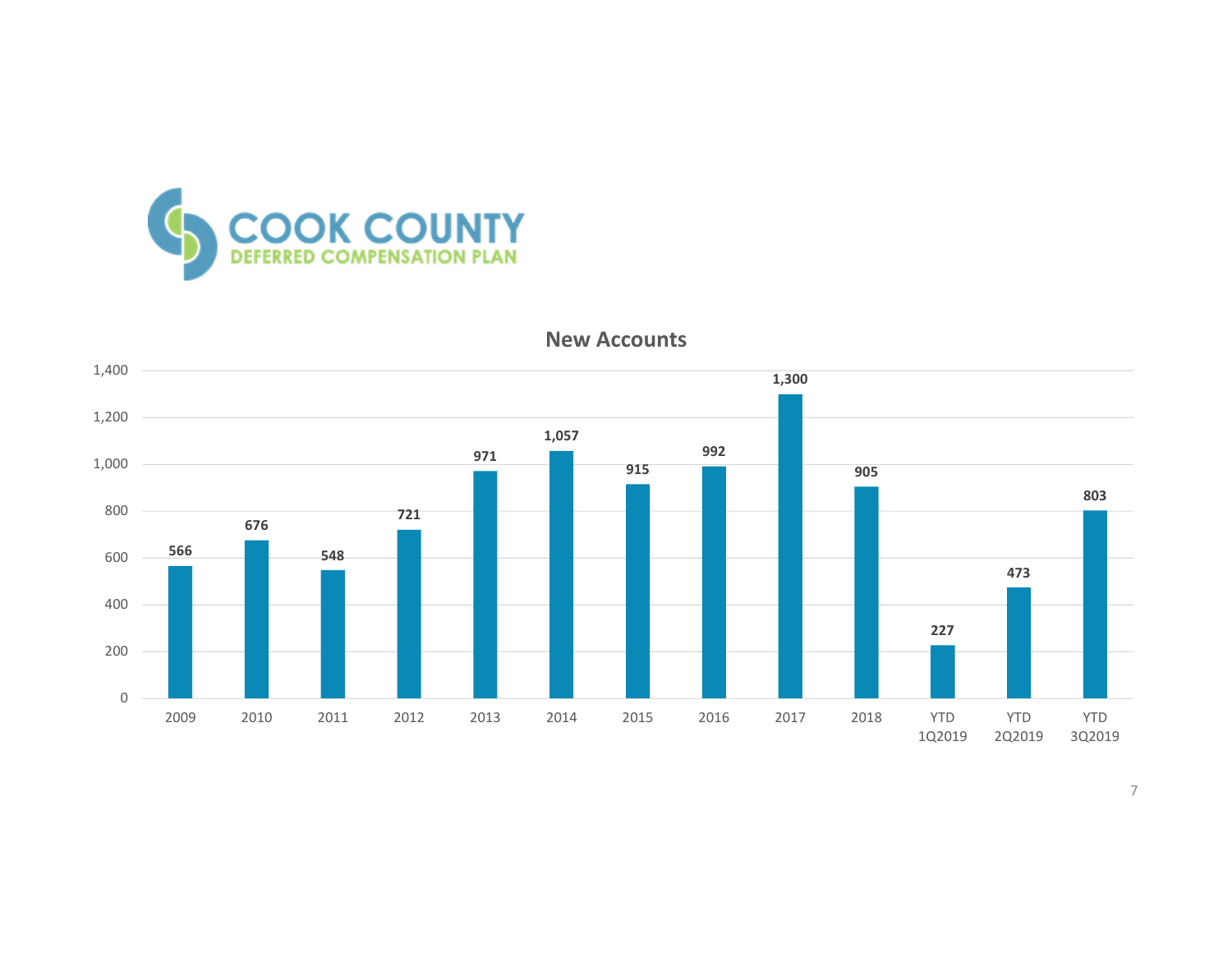



**New Accounts**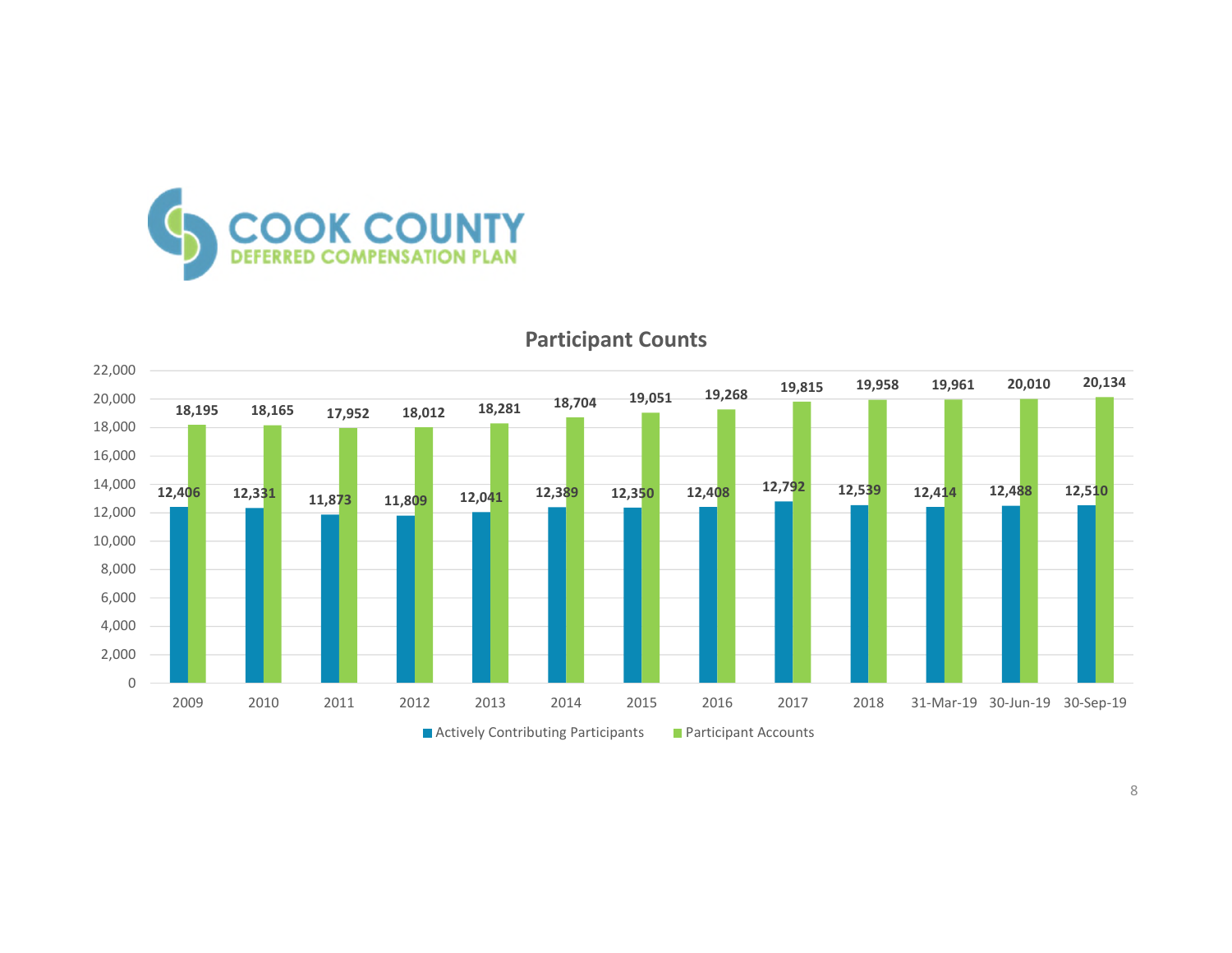



#### **Participant Counts**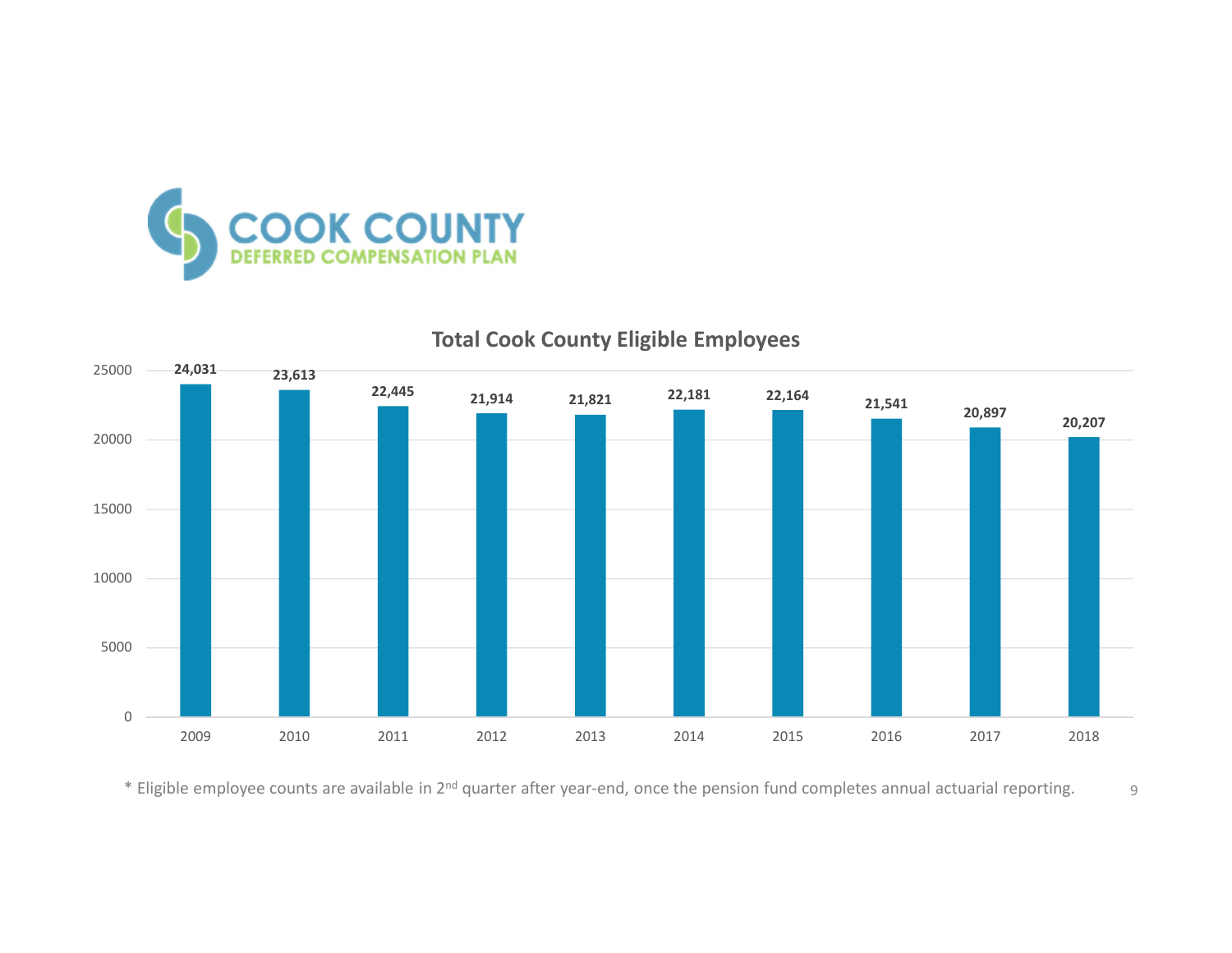



## **Total Cook County Eligible Employees**

\* Eligible employee counts are available in 2<sup>nd</sup> quarter after year-end, once the pension fund completes annual actuarial reporting. <br>9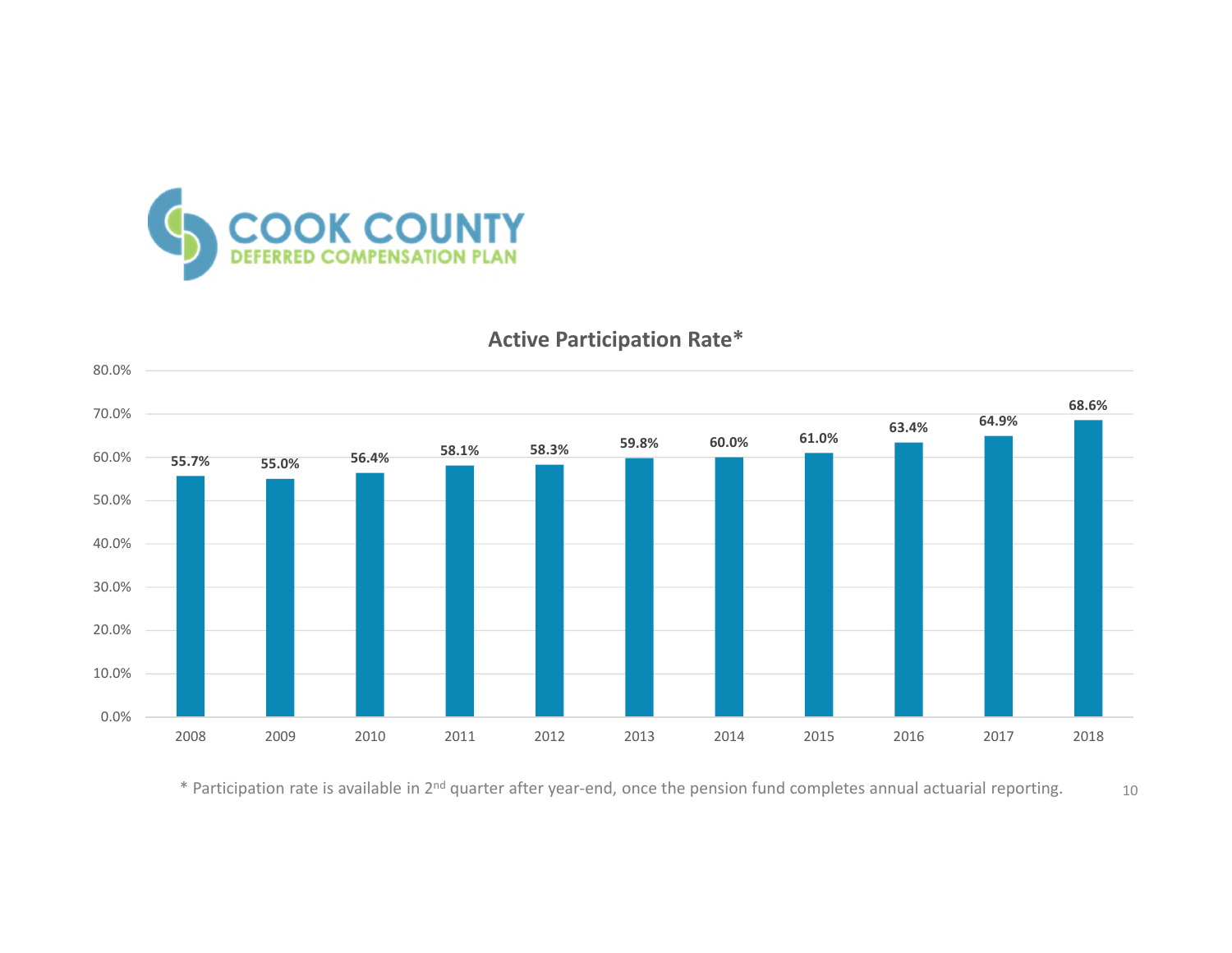



## **Active Participation Rate\***

\* Participation rate is available in 2<sup>nd</sup> quarter after year-end, once the pension fund completes annual actuarial reporting. 10<br>10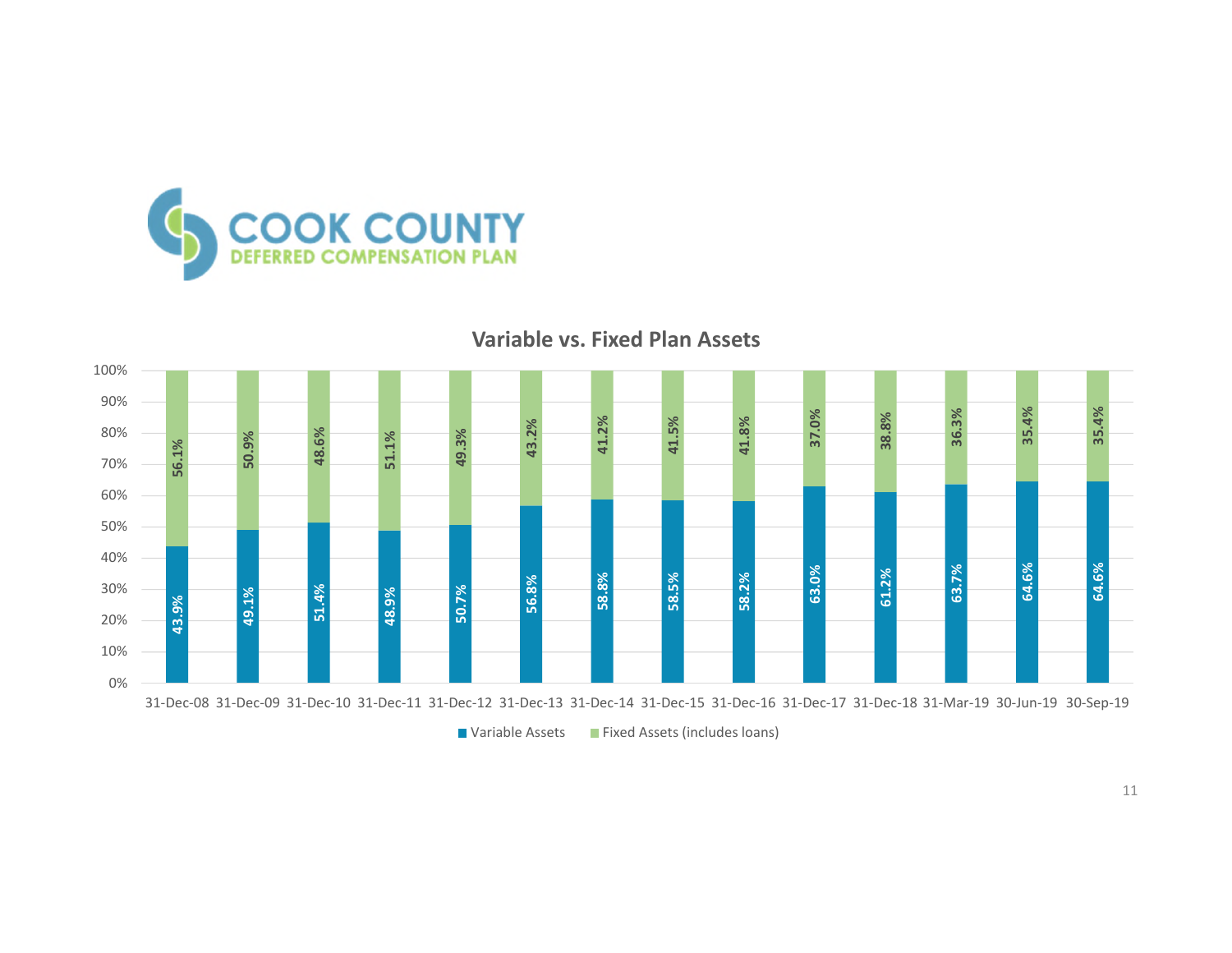

#### **Variable vs. Fixed Plan Assets**



■ Variable Assets ■ Fixed Assets (includes loans)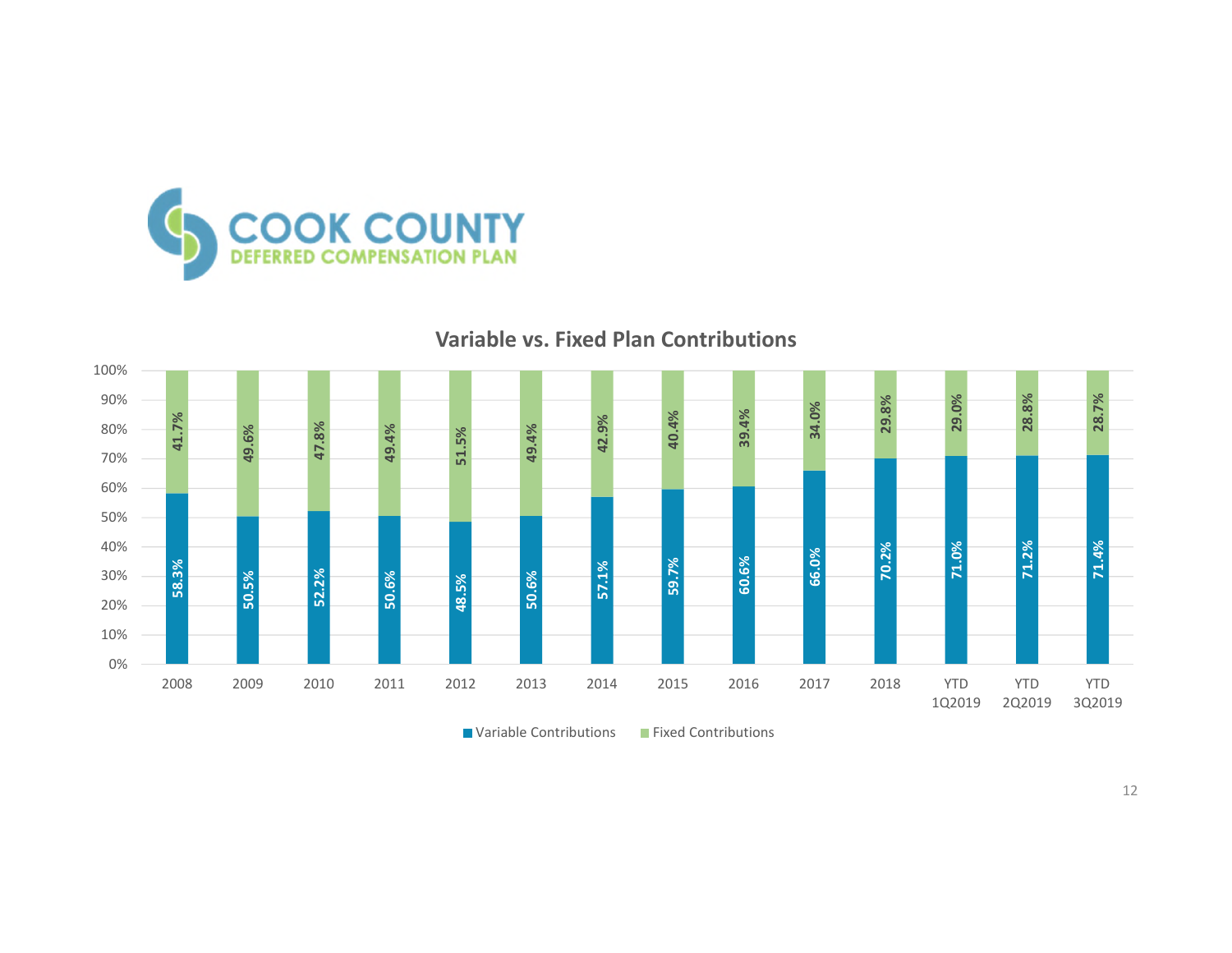

#### **Variable vs. Fixed Plan Contributions**



**E** Variable Contributions **Fixed Contributions**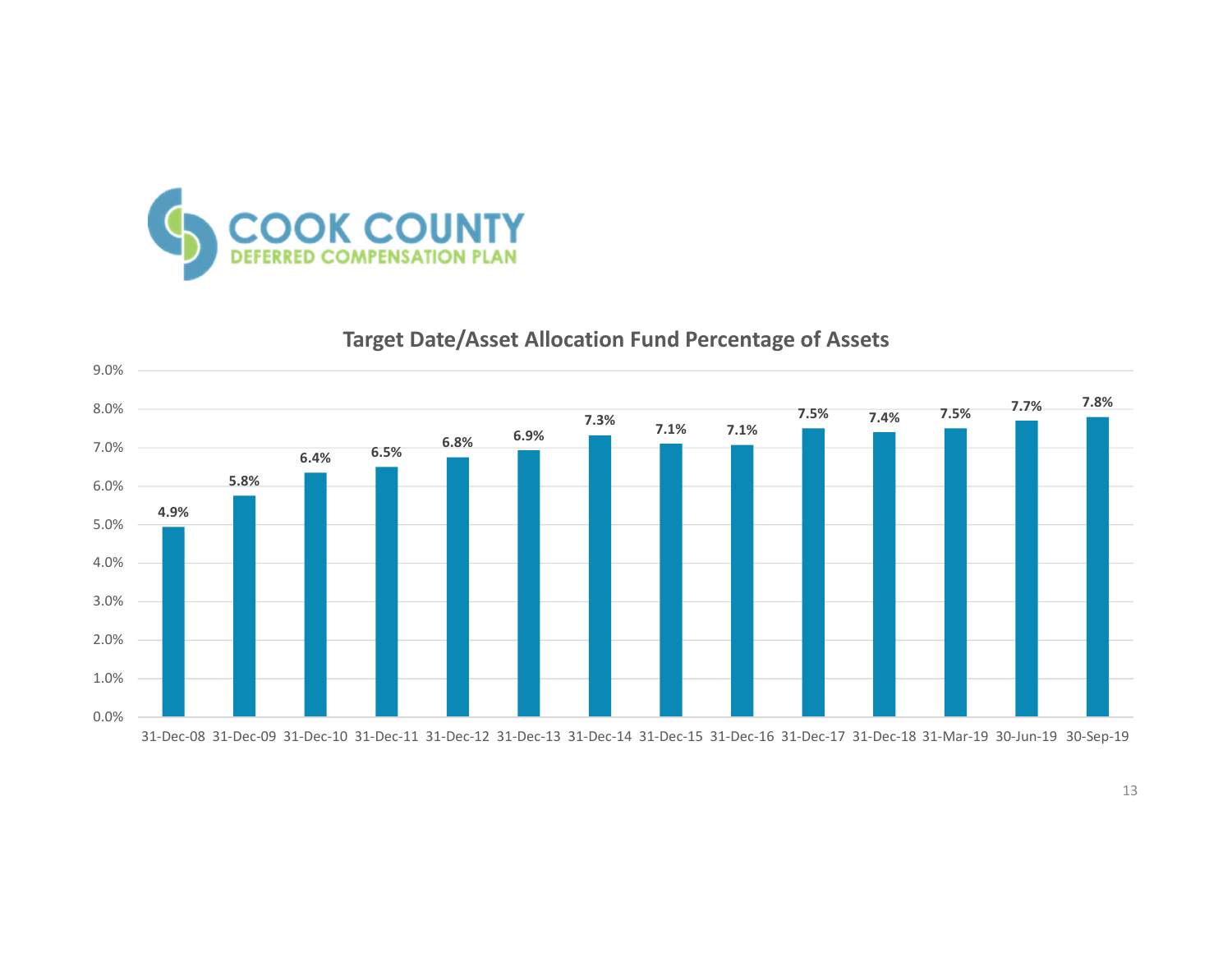

#### **4.9% 5.8% 6.4% 6.5% 6.8% 6.9% 7.3% 7.1% 7.1% 7.5% 7.4% 7.5% 7.7% 7.8%** 0.0% 1.0% 2.0% 3.0% 4.0% 5.0% 6.0% 7.0% 8.0% 9.0%

## **Target Date/Asset Allocation Fund Percentage of Assets**

31-Dec-08 31-Dec-09 31-Dec-10 31-Dec-11 31-Dec-12 31-Dec-13 31-Dec-14 31-Dec-15 31-Dec-16 31-Dec-17 31-Dec-18 31-Mar-19 30-Jun-19 30-Sep-19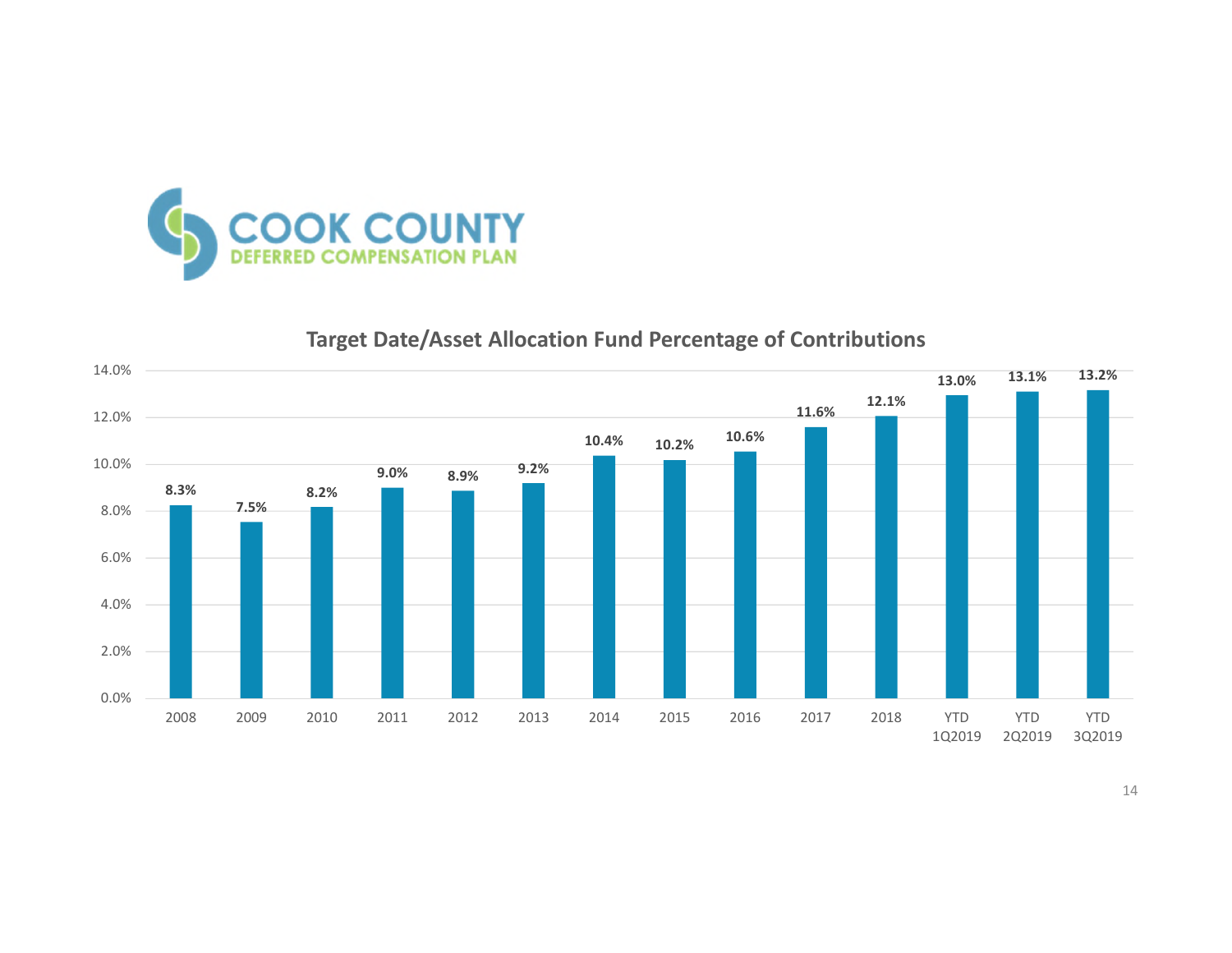

## **Target Date/Asset Allocation Fund Percentage of Contributions**

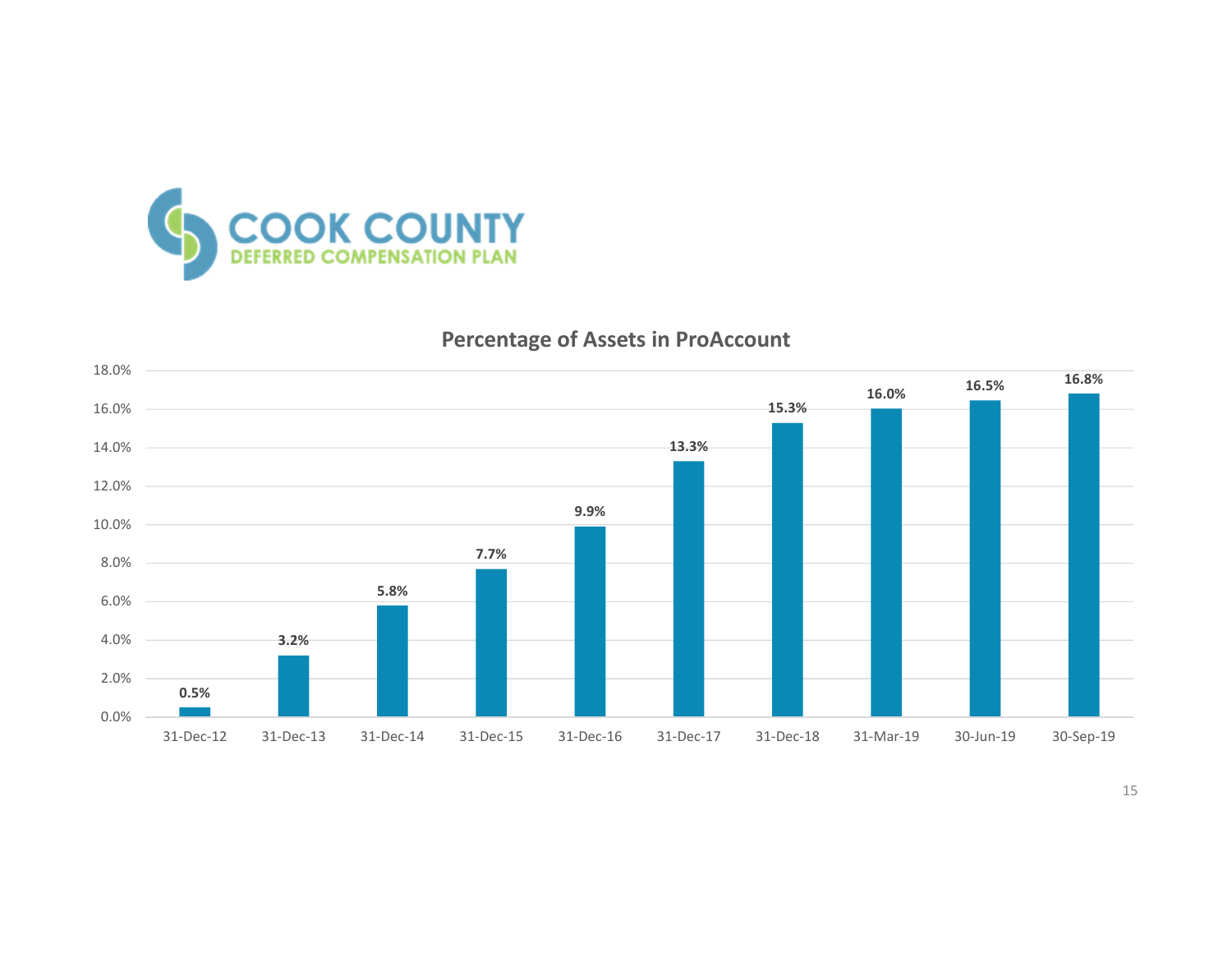

## **Percentage of Assets in ProAccount**

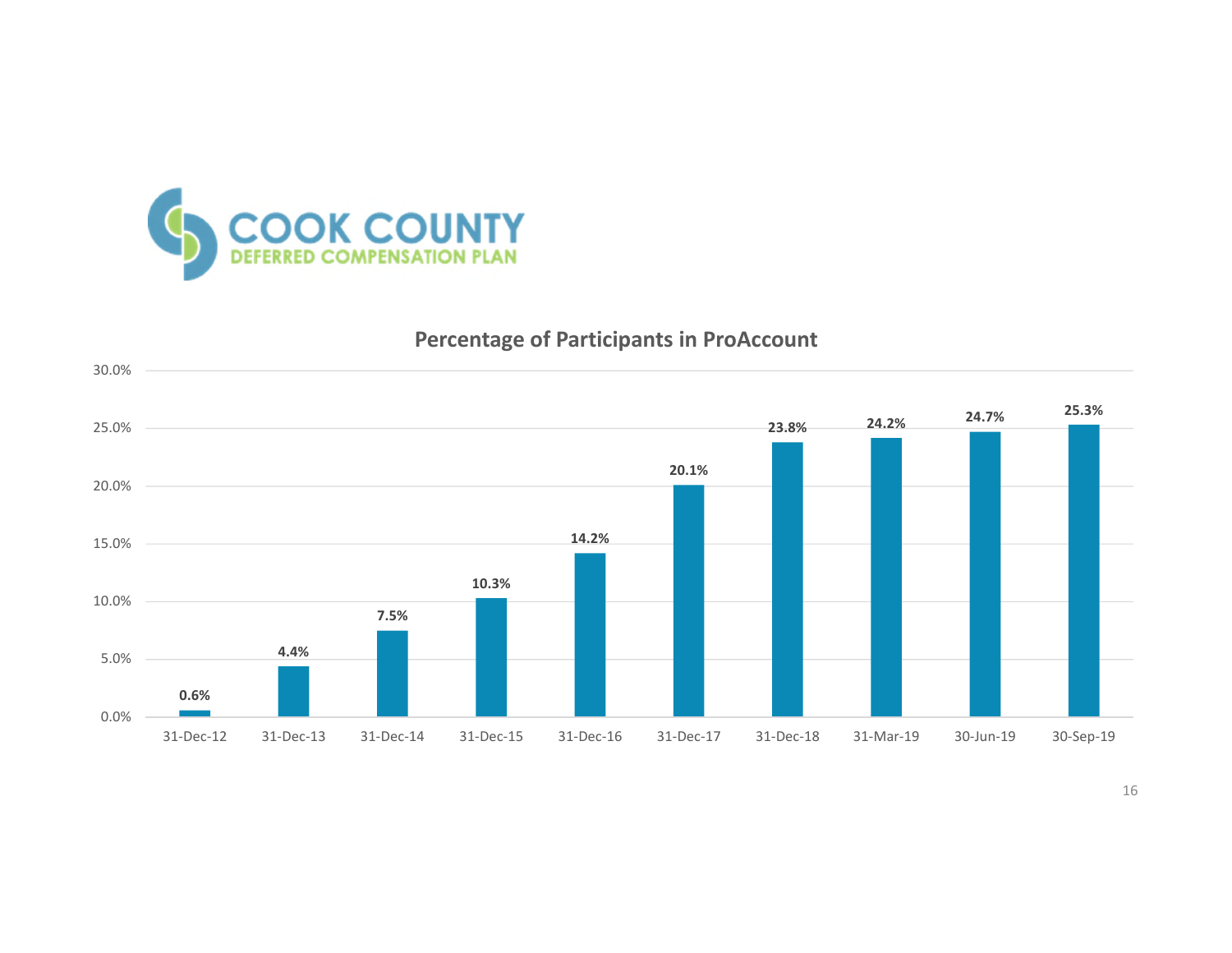

## **Percentage of Participants in ProAccount**

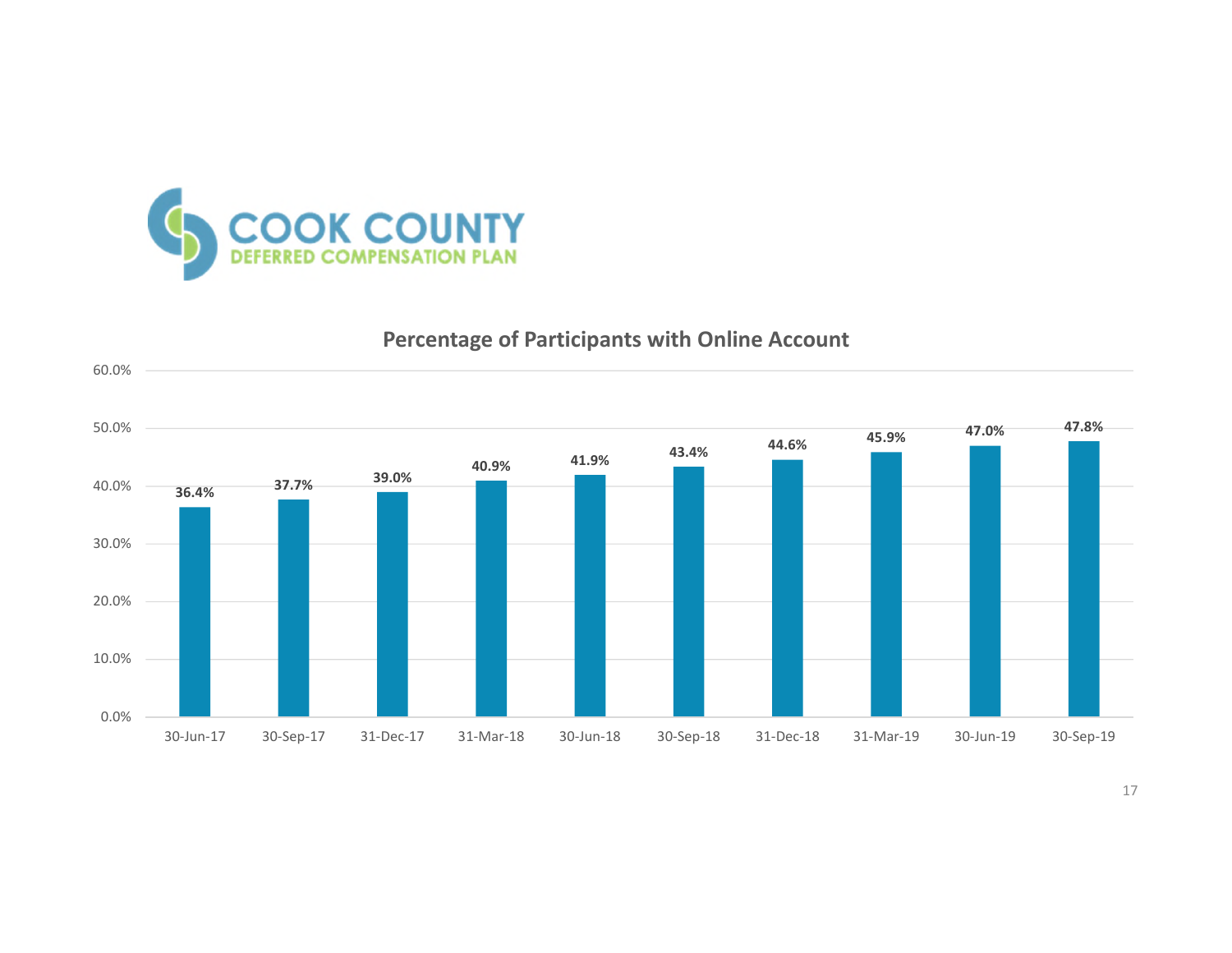

## **Percentage of Participants with Online Account**



17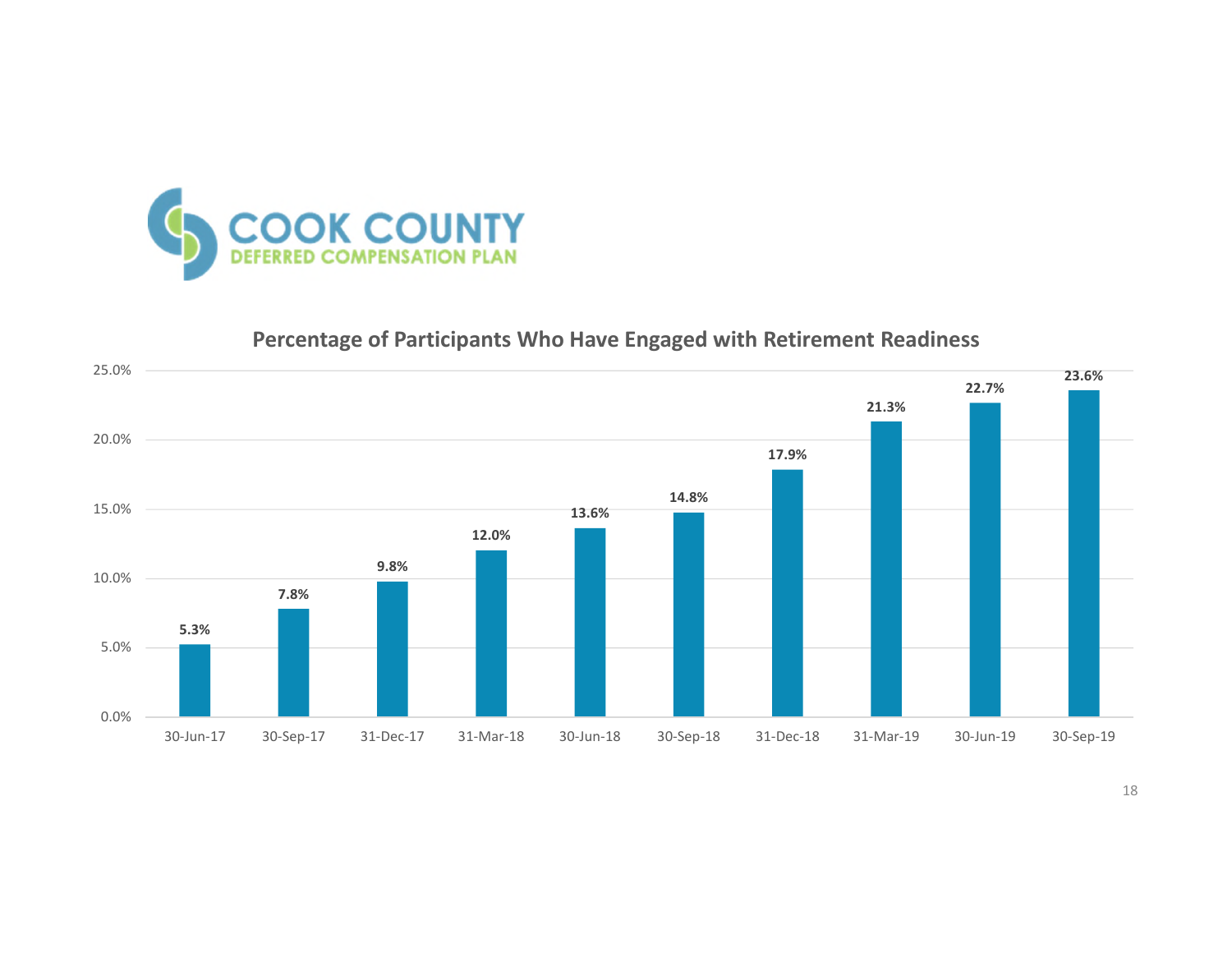

## **Percentage of Participants Who Have Engaged with Retirement Readiness**